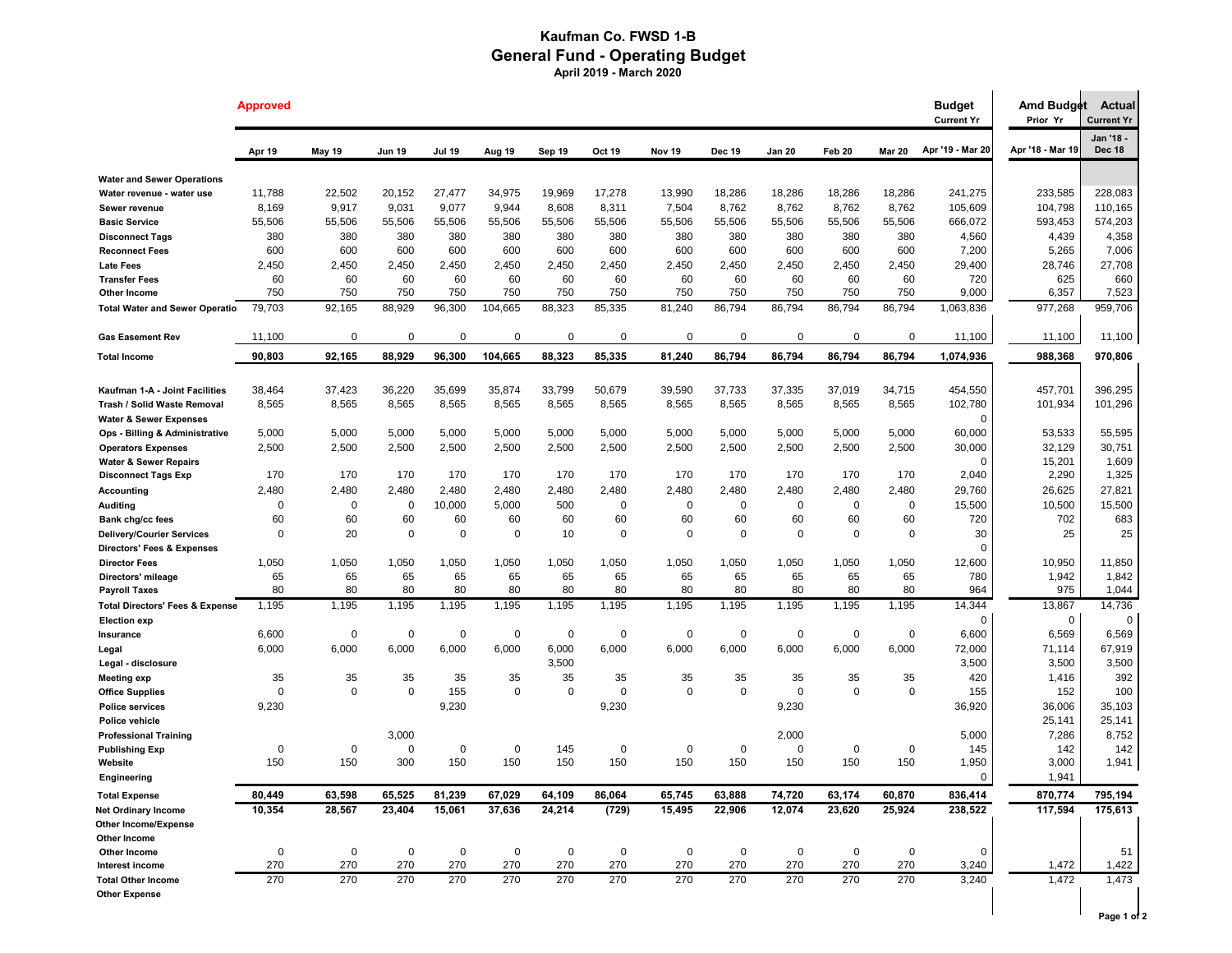## **Kaufman Co. FWSD 1-B General Fund - Operating Budget April 2019 - March 2020**

|                                            | <b>Approved</b> |               |               |               |             |             |             |             |               |               |             |               | <b>Budget</b><br><b>Current Yr</b> | Amd Budget<br>Prior Yr | <b>Actual</b><br><b>Current Yr</b> |
|--------------------------------------------|-----------------|---------------|---------------|---------------|-------------|-------------|-------------|-------------|---------------|---------------|-------------|---------------|------------------------------------|------------------------|------------------------------------|
|                                            | Apr 19          | <b>May 19</b> | <b>Jun 19</b> | <b>Jul 19</b> | Aug 19      | Sep 19      | Oct 19      | Nov 19      | <b>Dec 19</b> | <b>Jan 20</b> | Feb 20      | <b>Mar 20</b> | Apr '19 - Mar 20                   | Apr '18 - Mar 19       | Jan '18 -<br><b>Dec 18</b>         |
| <b>Water and Sewer Operations</b>          |                 |               |               |               |             |             |             |             |               |               |             |               |                                    |                        |                                    |
| Water revenue - water use                  | 11,788          | 22,502        | 20,152        | 27,477        | 34,975      | 19,969      | 17,278      | 13,990      | 18,286        | 18,286        | 18,286      | 18,286        | 241,275                            | 233,585                | 228,083                            |
| Sewer revenue                              | 8,169           | 9,917         | 9,031         | 9,077         | 9,944       | 8,608       | 8,311       | 7,504       | 8,762         | 8,762         | 8,762       | 8,762         | 105,609                            | 104,798                | 110,165                            |
| <b>Basic Service</b>                       | 55,506          | 55,506        | 55,506        | 55,506        | 55,506      | 55,506      | 55,506      | 55,506      | 55,506        | 55,506        | 55,506      | 55,506        | 666,072                            | 593,453                | 574,203                            |
| <b>Disconnect Tags</b>                     | 380             | 380           | 380           | 380           | 380         | 380         | 380         | 380         | 380           | 380           | 380         | 380           | 4,560                              | 4,439                  | 4,358                              |
| <b>Reconnect Fees</b>                      | 600             | 600           | 600           | 600           | 600         | 600         | 600         | 600         | 600           | 600           | 600         | 600           | 7,200                              | 5,265                  | 7,006                              |
| <b>Late Fees</b>                           | 2,450           | 2,450         | 2,450         | 2,450         | 2,450       | 2,450       | 2,450       | 2,450       | 2,450         | 2,450         | 2,450       | 2,450         | 29,400                             | 28,746                 | 27,708                             |
| <b>Transfer Fees</b>                       | 60              | 60            | 60            | 60            | 60          | 60          | 60          | 60          | 60            | 60            | 60          | 60            | 720                                | 625                    | 660                                |
| Other Income                               | 750             | 750           | 750           | 750           | 750         | 750         | 750         | 750         | 750           | 750           | 750         | 750           | 9,000                              | 6,357                  | 7,523                              |
| <b>Total Water and Sewer Operatio</b>      | 79,703          | 92,165        | 88,929        | 96,300        | 104,665     | 88,323      | 85,335      | 81,240      | 86,794        | 86,794        | 86,794      | 86,794        | 1,063,836                          | 977,268                | 959,706                            |
| <b>Gas Easement Rev</b>                    | 11,100          | $\mathbf 0$   | $\mathbf 0$   | $\mathbf 0$   | $\mathbf 0$ | 0           | $\mathbf 0$ | $\mathbf 0$ | $\Omega$      | $\Omega$      | $\Omega$    | $\mathbf 0$   | 11,100                             | 11,100                 | 11,100                             |
| <b>Total Income</b>                        | 90,803          | 92,165        | 88,929        | 96,300        | 104,665     | 88,323      | 85,335      | 81,240      | 86,794        | 86,794        | 86,794      | 86,794        | 1,074,936                          | 988,368                | 970,806                            |
|                                            |                 |               |               |               |             |             |             |             |               |               |             |               |                                    |                        |                                    |
| Kaufman 1-A - Joint Facilities             | 38,464          | 37,423        | 36,220        | 35,699        | 35,874      | 33,799      | 50,679      | 39,590      | 37,733        | 37,335        | 37,019      | 34,715        | 454,550                            | 457,701                | 396,295                            |
| Trash / Solid Waste Removal                | 8,565           | 8,565         | 8,565         | 8,565         | 8,565       | 8,565       | 8,565       | 8,565       | 8,565         | 8,565         | 8,565       | 8,565         | 102,780                            | 101,934                | 101,296                            |
| <b>Water &amp; Sewer Expenses</b>          |                 |               |               |               |             |             |             |             |               |               |             |               | $\mathbf 0$                        |                        |                                    |
| Ops - Billing & Administrative             | 5,000           | 5,000         | 5,000         | 5,000         | 5,000       | 5,000       | 5,000       | 5,000       | 5,000         | 5,000         | 5,000       | 5,000         | 60,000                             | 53,533                 | 55,595                             |
| <b>Operators Expenses</b>                  | 2,500           | 2,500         | 2,500         | 2,500         | 2,500       | 2,500       | 2,500       | 2,500       | 2,500         | 2,500         | 2,500       | 2,500         | 30,000                             | 32,129                 | 30,751                             |
| <b>Water &amp; Sewer Repairs</b>           |                 |               |               |               |             |             |             |             |               |               |             |               | $\mathbf 0$                        | 15,201                 | 1,609                              |
| <b>Disconnect Tags Exp</b>                 | 170             | 170           | 170           | 170           | 170         | 170         | 170         | 170         | 170           | 170           | 170         | 170           | 2,040                              | 2,290                  | 1,325                              |
| <b>Accounting</b>                          | 2,480           | 2,480         | 2,480         | 2,480         | 2,480       | 2,480       | 2,480       | 2,480       | 2,480         | 2,480         | 2,480       | 2,480         | 29,760                             | 26,625                 | 27,821                             |
| <b>Auditing</b>                            | 0               | $\mathbf 0$   | $\mathbf 0$   | 10,000        | 5,000       | 500         | $\mathbf 0$ | $\mathbf 0$ | $\mathbf 0$   | $\mathbf 0$   | $\mathbf 0$ | $\mathbf 0$   | 15,500                             | 10,500                 | 15,500                             |
| Bank chg/cc fees                           | 60              | 60            | 60            | 60            | 60          | 60          | 60          | 60          | 60            | 60            | 60          | 60            | 720                                | 702                    | 683                                |
| <b>Delivery/Courier Services</b>           | $\Omega$        | 20            | $\mathbf 0$   | $\Omega$      | $\mathbf 0$ | 10          | $\mathbf 0$ | $\mathbf 0$ | $\mathbf 0$   | $\mathbf 0$   | $\mathbf 0$ | $\Omega$      | 30                                 | 25                     | 25                                 |
| <b>Directors' Fees &amp; Expenses</b>      |                 |               |               |               |             |             |             |             |               |               |             |               | $\mathbf 0$                        |                        |                                    |
| <b>Director Fees</b>                       | 1,050           | 1,050         | 1,050         | 1,050         | 1,050       | 1,050       | 1,050       | 1,050       | 1,050         | 1,050         | 1,050       | 1,050         | 12,600                             | 10,950                 | 11,850                             |
| Directors' mileage                         | 65              | 65            | 65            | 65            | 65          | 65          | 65          | 65          | 65            | 65            | 65          | 65            | 780                                | 1,942                  | 1,842                              |
| <b>Payroll Taxes</b>                       | 80              | 80            | 80            | 80            | 80          | 80          | 80          | 80          | 80            | 80            | 80          | 80            | 964                                | 975                    | 1,044                              |
| <b>Total Directors' Fees &amp; Expense</b> | 1,195           | 1,195         | 1,195         | 1,195         | 1,195       | 1,195       | 1,195       | 1,195       | 1,195         | 1,195         | 1,195       | 1,195         | 14,344                             | 13,867                 | 14,736                             |
| <b>Election exp</b>                        |                 |               |               |               |             |             |             |             |               |               |             |               | $\mathbf 0$                        | $\mathbf 0$            | $\mathbf 0$                        |
| Insurance                                  | 6,600           | $\mathbf 0$   | $\mathbf 0$   | $\mathbf 0$   | 0           | $\mathbf 0$ | $\mathbf 0$ | $\mathbf 0$ | 0             | 0             | 0           | $\Omega$      | 6,600                              | 6,569                  | 6,569                              |
| Legal                                      | 6,000           | 6,000         | 6,000         | 6,000         | 6,000       | 6,000       | 6,000       | 6,000       | 6,000         | 6,000         | 6,000       | 6,000         | 72,000                             | 71,114                 | 67,919                             |
| Legal - disclosure                         |                 |               |               |               |             | 3,500       |             |             |               |               |             |               | 3,500                              | 3,500                  | 3,500                              |
| <b>Meeting exp</b>                         | 35              | 35            | 35            | 35            | 35          | 35          | 35          | 35          | 35            | 35            | 35          | 35            | 420                                | 1,416                  | 392                                |
| <b>Office Supplies</b>                     | 0               | $\mathbf 0$   | $\mathbf 0$   | 155           | $\Omega$    | $\mathbf 0$ | $\mathbf 0$ | $\mathbf 0$ | $\Omega$      | $\mathbf 0$   | $\Omega$    | $\Omega$      | 155                                | 152                    | 100                                |
| <b>Police services</b>                     | 9,230           |               |               | 9,230         |             |             | 9,230       |             |               | 9,230         |             |               | 36,920                             | 36,006                 | 35,103                             |
| Police vehicle                             |                 |               |               |               |             |             |             |             |               |               |             |               |                                    | 25,141                 | 25,141                             |
| <b>Professional Training</b>               |                 |               | 3,000         |               |             |             |             |             |               | 2,000         |             |               | 5,000                              | 7,286                  | 8,752                              |
| <b>Publishing Exp</b>                      | 0               | $\mathbf 0$   | $\mathbf 0$   | $\mathbf 0$   | 0           | 145         | $\mathbf 0$ | $\mathbf 0$ | $\mathbf 0$   | $\mathbf 0$   | 0           | 0             | 145                                | 142                    | 142                                |
| Website                                    | 150             | 150           | 300           | 150           | 150         | 150         | 150         | 150         | 150           | 150           | 150         | 150           | 1,950                              | 3,000                  | 1,941                              |
| Engineering                                |                 |               |               |               |             |             |             |             |               |               |             |               | $\mathbf 0$                        | 1,941                  |                                    |
| <b>Total Expense</b>                       | 80,449          | 63,598        | 65,525        | 81,239        | 67,029      | 64,109      | 86,064      | 65,745      | 63,888        | 74,720        | 63,174      | 60,870        | 836,414                            | 870,774                | 795,194                            |
| <b>Net Ordinary Income</b>                 | 10,354          | 28,567        | 23,404        | 15,061        | 37,636      | 24,214      | (729)       | 15,495      | 22,906        | 12,074        | 23,620      | 25,924        | 238,522                            | 117,594                | 175,613                            |
| Other Income/Expense                       |                 |               |               |               |             |             |             |             |               |               |             |               |                                    |                        |                                    |
| Other Income                               |                 |               |               |               |             |             |             |             |               |               |             |               |                                    |                        |                                    |
| Other Income                               | 0               | $\mathbf 0$   | $\mathbf 0$   | $\pmb{0}$     | $\mathbf 0$ | $\mathbf 0$ | $\mathbf 0$ | $\mathbf 0$ | $\mathbf 0$   | $\mathbf 0$   | $\mathbf 0$ | 0             | 0                                  |                        | 51                                 |
| Interest income                            | 270             | 270           | 270           | 270           | 270         | 270         | 270         | 270         | 270           | 270           | 270         | 270           | 3,240                              | 1,472                  | 1,422                              |
| <b>Total Other Income</b>                  | 270             | 270           | 270           | 270           | 270         | 270         | 270         | 270         | 270           | 270           | 270         | 270           | 3,240                              | 1,472                  | 1,473                              |
| <b>Other Expense</b>                       |                 |               |               |               |             |             |             |             |               |               |             |               |                                    |                        |                                    |